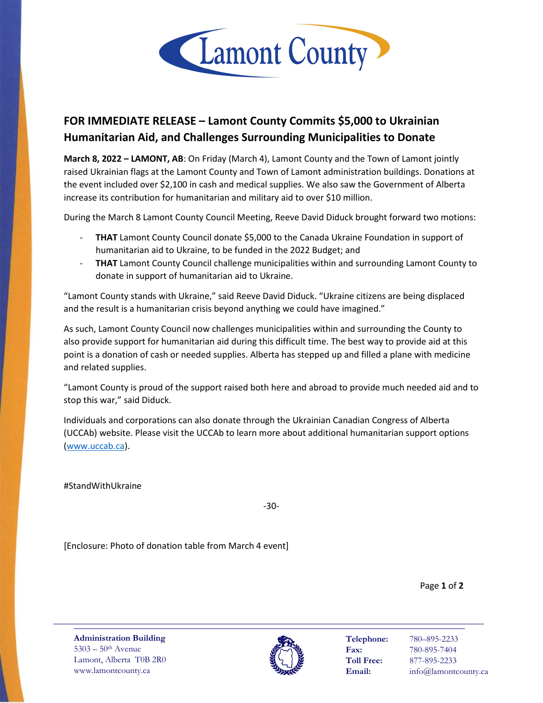

## **FOR IMMEDIATE RELEASE – Lamont County Commits \$5,000 to Ukrainian Humanitarian Aid, and Challenges Surrounding Municipalities to Donate**

**March 8, 2022 – LAMONT, AB**: On Friday (March 4), Lamont County and the Town of Lamont jointly raised Ukrainian flags at the Lamont County and Town of Lamont administration buildings. Donations at the event included over \$2,100 in cash and medical supplies. We also saw the Government of Alberta increase its contribution for humanitarian and military aid to over \$10 million.

During the March 8 Lamont County Council Meeting, Reeve David Diduck brought forward two motions:

- **THAT** Lamont County Council donate \$5,000 to the Canada Ukraine Foundation in support of humanitarian aid to Ukraine, to be funded in the 2022 Budget; and
- **THAT** Lamont County Council challenge municipalities within and surrounding Lamont County to donate in support of humanitarian aid to Ukraine.

"Lamont County stands with Ukraine," said Reeve David Diduck. "Ukraine citizens are being displaced and the result is a humanitarian crisis beyond anything we could have imagined."

As such, Lamont County Council now challenges municipalities within and surrounding the County to also provide support for humanitarian aid during this difficult time. The best way to provide aid at this point is a donation of cash or needed supplies. Alberta has stepped up and filled a plane with medicine and related supplies.

"Lamont County is proud of the support raised both here and abroad to provide much needed aid and to stop this war," said Diduck.

Individuals and corporations can also donate through the Ukrainian Canadian Congress of Alberta (UCCAb) website. Please visit the UCCAb to learn more about additional humanitarian support options [\(www.uccab.ca\)](http://www.uccab.ca/).

#StandWithUkraine

-30-

[Enclosure: Photo of donation table from March 4 event]

Page **1** of **2**

**Administration Building** 5303 – 50th Avenue Lamont, Alberta T0B 2R0 www.lamontcounty.ca



**Telephone:** 780–895-2233 **Fax:** 780-895-7404 **Toll Free:** 877-895-2233 **Email:** info@lamontcounty.ca